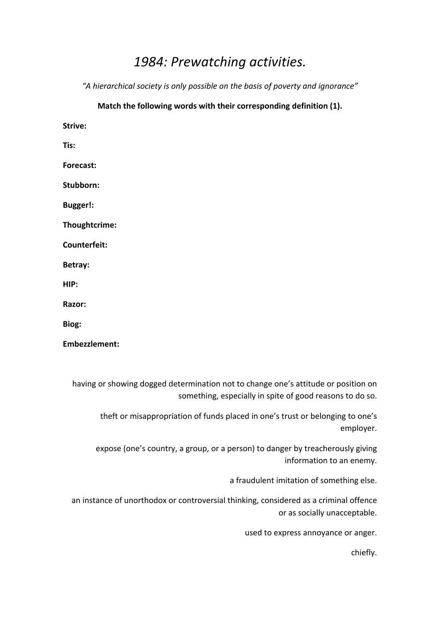## 1984: Prewatching activities.

"A hierarchical society is only possible on the basis of poverty and ignorance"

## Match the following words with their corresponding definition (1).

**Strive:**

**Tis:**

**Forecast:** 

Stubborn:

**Bugger!:**

**Thoughtcrime:** 

**Counterfeit:** 

**Betray:**

**HIP:** 

**Razor:** 

Biog:

Embezzlement:

having or showing dogged determination not to change one's attitude or position on something, especially in spite of good reasons to do so.

theft or misappropriation of funds placed in one's trust or belonging to one's employer.

expose (one's country, a group, or a person) to danger by treacherously giving information to an enemy.

a fraudulent imitation of something else.

an instance of unorthodox or controversial thinking, considered as a criminal offence or as socially unacceptable.

used to express annoyance or anger.

chiefly.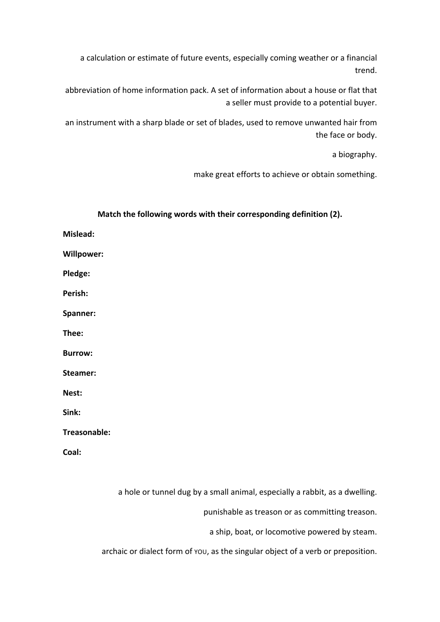a calculation or estimate of future events, especially coming weather or a financial trend.

abbreviation of home information pack. A set of information about a house or flat that a seller must provide to a potential buyer.

an instrument with a sharp blade or set of blades, used to remove unwanted hair from the face or body.

a biography.

make great efforts to achieve or obtain something.

| Match the following words with their corresponding definition (2). |
|--------------------------------------------------------------------|
| Mislead:                                                           |
| <b>Willpower:</b>                                                  |
| Pledge:                                                            |
| Perish:                                                            |
| Spanner:                                                           |
| Thee:                                                              |
| <b>Burrow:</b>                                                     |
| Steamer:                                                           |
| Nest:                                                              |
| Sink:                                                              |
| Treasonable:                                                       |
| Coal:                                                              |
|                                                                    |

a hole or tunnel dug by a small animal, especially a rabbit, as a dwelling.

archaic or dialect form of you, as the singular object of a verb or preposition.

punishable as treason or as committing treason.

a ship, boat, or locomotive powered by steam.